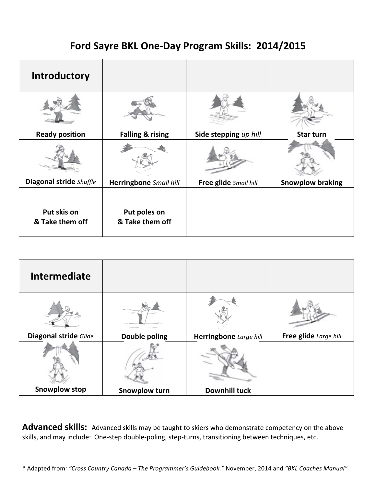## Ford Sayre BKL One-Day Program Skills: 2014/2015

| Introductory                   |                                 |                       |                         |
|--------------------------------|---------------------------------|-----------------------|-------------------------|
|                                |                                 |                       |                         |
| <b>Ready position</b>          | <b>Falling &amp; rising</b>     | Side stepping up hill | Star turn               |
|                                |                                 |                       |                         |
| Diagonal stride Shuffle        | Herringbone Small hill          | Free glide Small hill | <b>Snowplow braking</b> |
| Put skis on<br>& Take them off | Put poles on<br>& Take them off |                       |                         |

| <b>Intermediate</b>   |                      |                        |                       |
|-----------------------|----------------------|------------------------|-----------------------|
|                       |                      |                        |                       |
| Diagonal stride Glide | <b>Double poling</b> | Herringbone Large hill | Free glide Large hill |
|                       |                      |                        |                       |
| <b>Snowplow stop</b>  | <b>Snowplow turn</b> | <b>Downhill tuck</b>   |                       |

Advanced skills: Advanced skills may be taught to skiers who demonstrate competency on the above skills, and may include: One-step double-poling, step-turns, transitioning between techniques, etc.